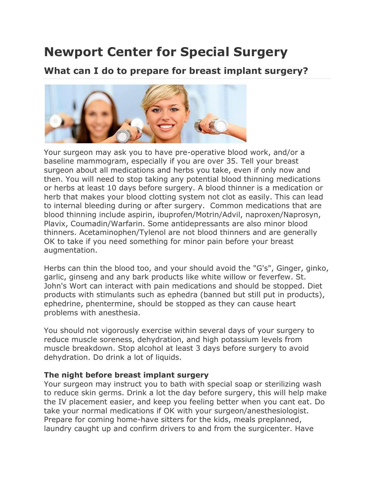## **Newport Center for Special Surgery**

### **What can I do to prepare for breast implant surgery?**



Your surgeon may ask you to have pre-operative blood work, and/or a baseline mammogram, especially if you are over 35. Tell your breast surgeon about all medications and herbs you take, even if only now and then. You will need to stop taking any potential blood thinning medications or herbs at least 10 days before surgery. A blood thinner is a medication or herb that makes your blood clotting system not clot as easily. This can lead to internal bleeding during or after surgery. Common medications that are blood thinning include aspirin, ibuprofen/Motrin/Advil, naproxen/Naprosyn, Plavix, Coumadin/Warfarin. Some antidepressants are also minor blood thinners. Acetaminophen/Tylenol are not blood thinners and are generally OK to take if you need something for minor pain before your breast augmentation.

Herbs can thin the blood too, and your should avoid the "G's", Ginger, ginko, garlic, ginseng and any bark products like white willow or feverfew. St. John's Wort can interact with pain medications and should be stopped. Diet products with stimulants such as ephedra (banned but still put in products), ephedrine, phentermine, should be stopped as they can cause heart problems with anesthesia.

You should not vigorously exercise within several days of your surgery to reduce muscle soreness, dehydration, and high potassium levels from muscle breakdown. Stop alcohol at least 3 days before surgery to avoid dehydration. Do drink a lot of liquids.

#### **The night before breast implant surgery**

Your surgeon may instruct you to bath with special soap or sterilizing wash to reduce skin germs. Drink a lot the day before surgery, this will help make the IV placement easier, and keep you feeling better when you cant eat. Do take your normal medications if OK with your surgeon/anesthesiologist. Prepare for coming home-have sitters for the kids, meals preplanned, laundry caught up and confirm drivers to and from the surgicenter. Have